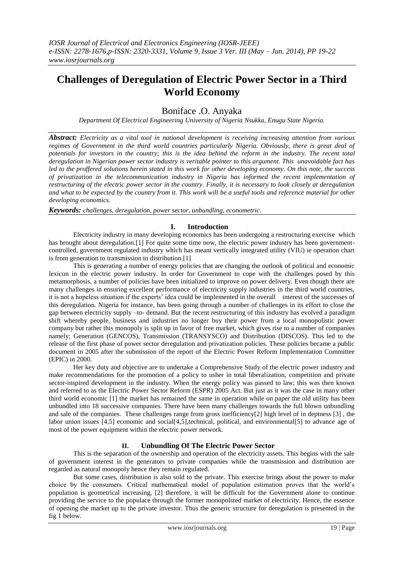# **Challenges of Deregulation of Electric Power Sector in a Third World Economy**

Boniface .O. Anyaka

*Department Of Electrical Engineering University of Nigeria Nsukka, Enugu State Nigeria.*

*Abstract: Electricity as a vital tool in national development is receiving increasing attention from various regimes of Government in the third world countries particularly Nigeria. Obviously, there is great deal of potentials for investors in the country; this is the idea behind the reform in the industry. The recent total deregulation in Nigerian power sector industry is veritable pointer to this argument. This unavoidable fact has led to the proffered solutions herein stated in this work for other developing economy. On this note, the success of privatization in the telecommunication industry in Nigeria has informed the recent implementation of restructuring of the electric power sector in the country. Finally, it is necessary to look closely at deregulation and what to be expected by the country from it. This work will be a useful tools and reference material for other developing economics.*

*Keywords: challenges, deregulation, power sector, unbundling, econometric.*

### **I. Introduction**

Electricity industry in many developing economics has been undergoing a restructuring exercise which has brought about deregulation.<sup>[1]</sup> For quite some time now, the electric power industry has been governmentcontrolled, government regulated industry which has meant vertically integrated utility (VIU) ie operation chart is from generation to transmission to distribution.[1]

This is generating a number of energy policies that are changing the outlook of political and economic lexicon in the electric power industry. In order for Government to cope with the challenges posed by this metamorphosis, a number of policies have been initialized to improve on power delivery. Even though there are many challenges in ensuring excellent performance of electricity supply industries in the third world countries, it is not a hopeless situation if the experts' idea could be implemented in the overall interest of the successes of this deregulation. Nigeria for instance, has been going through a number of challenges in its effort to close the gap between electricity supply –to- demand. But the recent restructuring of this industry has evolved a paradigm shift whereby people, business and industries no longer buy their power from a local monopolistic power company but rather this monopoly is split up in favor of free market, which gives rise to a number of companies namely; Generation (GENCOS), Transmission (TRANSYSCO) and Distribution (DISCOS). This led to the release of the first phase of power sector deregulation and privatization policies. These policies became a public document in 2005 after the submission of the report of the Electric Power Reform Implementation Committee (EPIC) in 2000.

Her key duty and objective are to undertake a Comprehensive Study of the electric power industry and make recommendations for the promotion of a policy to usher in total liberalization, competition and private sector-inspired development in the industry. When the energy policy was passed to law; this was then known and referred to as the Electric Power Sector Reform (ESPR) 2005 Act. But just as it was the case in many other third world economic [1] the market has remained the same in operation while on paper the old utility has been unbundled into 18 successive companies. There have been many challenges towards the full blown unbundling and sale of the companies. These challenges range from gross inefficiency[2] high level of in deptness [3] , the labor union issues [4,5] economic and social[4,5],technical, political, and environmental[5] to advance age of most of the power equipment within the electric power network.

#### **II. Unbundling Of The Electric Power Sector**

This is the separation of the ownership and operation of the electricity assets. This begins with the sale of government interest in the generators to private companies while the transmission and distribution are regarded as natural monopoly hence they remain regulated.

But some cases, distribution is also sold to the private. This exercise brings about the power to make choice by the consumers. Critical mathematical model of population estimation proves that the world's population is geometrical increasing, [2] therefore, it will be difficult for the Government alone to continue providing the service to the populace through the former monopolized market of electricity. Hence, the essence of opening the market up to the private investor. Thus the generic structure for deregulation is presented in the fig 1 below.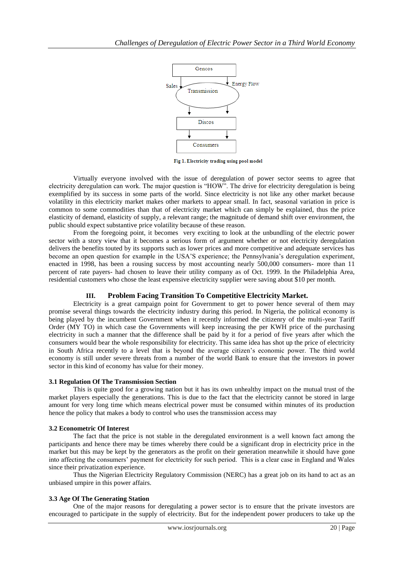

Fig 1. Electricity trading using pool model

Virtually everyone involved with the issue of deregulation of power sector seems to agree that electricity deregulation can work. The major question is "HOW". The drive for electricity deregulation is being exemplified by its success in some parts of the world. Since electricity is not like any other market because volatility in this electricity market makes other markets to appear small. In fact, seasonal variation in price is common to some commodities than that of electricity market which can simply be explained, thus the price elasticity of demand, elasticity of supply, a relevant range; the magnitude of demand shift over environment, the public should expect substantive price volatility because of these reason.

From the foregoing point, it becomes very exciting to look at the unbundling of the electric power sector with a story view that it becomes a serious form of argument whether or not electricity deregulation delivers the benefits touted by its supports such as lower prices and more competitive and adequate services has become an open question for example in the USA'S experience; the Pennsylvania's deregulation experiment, enacted in 1998, has been a rousing success by most accounting nearly 500,000 consumers- more than 11 percent of rate payers- had chosen to leave their utility company as of Oct. 1999. In the Philadelphia Area, residential customers who chose the least expensive electricity supplier were saving about \$10 per month.

## **III. Problem Facing Transition To Competitive Electricity Market.**

Electricity is a great campaign point for Government to get to power hence several of them may promise several things towards the electricity industry during this period. In Nigeria, the political economy is being played by the incumbent Government when it recently informed the citizenry of the multi-year Tariff Order (MY TO) in which case the Governments will keep increasing the per KWH price of the purchasing electricity in such a manner that the difference shall be paid by it for a period of five years after which the consumers would bear the whole responsibility for electricity. This same idea has shot up the price of electricity in South Africa recently to a level that is beyond the average citizen's economic power. The third world economy is still under severe threats from a number of the world Bank to ensure that the investors in power sector in this kind of economy has value for their money.

#### **3.1 Regulation Of The Transmission Section**

This is quite good for a growing nation but it has its own unhealthy impact on the mutual trust of the market players especially the generations. This is due to the fact that the electricity cannot be stored in large amount for very long time which means electrical power must be consumed within minutes of its production hence the policy that makes a body to control who uses the transmission access may

#### **3.2 Econometric Of Interest**

The fact that the price is not stable in the deregulated environment is a well known fact among the participants and hence there may be times whereby there could be a significant drop in electricity price in the market but this may be kept by the generators as the profit on their generation meanwhile it should have gone into affecting the consumers' payment for electricity for such period. This is a clear case in England and Wales since their privatization experience.

Thus the Nigerian Electricity Regulatory Commission (NERC) has a great job on its hand to act as an unbiased umpire in this power affairs.

#### **3.3 Age Of The Generating Station**

One of the major reasons for deregulating a power sector is to ensure that the private investors are encouraged to participate in the supply of electricity. But for the independent power producers to take up the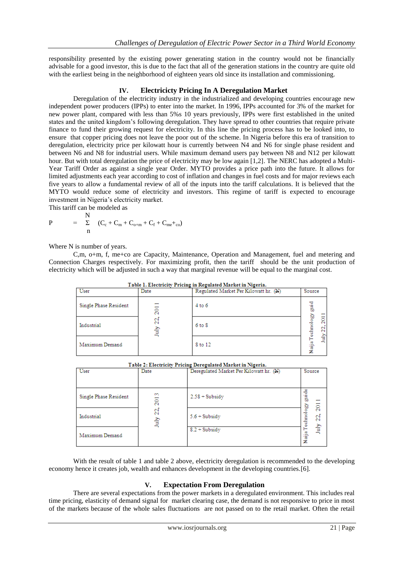responsibility presented by the existing power generating station in the country would not be financially advisable for a good investor, this is due to the fact that all of the generation stations in the country are quite old with the earliest being in the neighborhood of eighteen years old since its installation and commissioning.

#### **IV. Electricicty Pricing In A Deregulation Market**

Deregulation of the electricity industry in the industrialized and developing countries encourage new independent power producers (IPPs) to enter into the market. In 1996, IPPs accounted for 3% of the market for new power plant, compared with less than 5%s 10 years previously, IPPs were first established in the united states and the united kingdom's following deregulation. They have spread to other countries that require private finance to fund their growing request for electricity. In this line the pricing process has to be looked into, to ensure that copper pricing does not leave the poor out of the scheme. In Nigeria before this era of transition to deregulation, electricity price per kilowatt hour is currently between N4 and N6 for single phase resident and between N6 and N8 for industrial users. While maximum demand users pay between N8 and N12 per kilowatt hour. But with total deregulation the price of electricity may be low again [1,2]. The NERC has adopted a Multi-Year Tariff Order as against a single year Order. MYTO provides a price path into the future. It allows for limited adjustments each year according to cost of inflation and changes in fuel costs and for major reviews each five years to allow a fundamental review of all of the inputs into the tariff calculations. It is believed that the MYTO would reduce some of electricity and investors. This regime of tariff is expected to encourage investment in Nigeria's electricity market.

This tariff can be modeled as **NT** 

$$
P = \sum_{n=1}^{N} (C_{c} + C_{m} + C_{o+m} + C_{f} + C_{me} +_{co})
$$

Where N is number of years.

Maximum Demand

C,m, o+m, f, me+co are Capacity, Maintenance, Operation and Management, fuel and metering and Connection Charges respectively. For maximizing profit, then the tariff should be the unit production of electricity which will be adjusted in such a way that marginal revenue will be equal to the marginal cost.

| Table 1. Electricity Pricing in Regulated Market in Nigeria. |                  |                                       |                        |  |  |
|--------------------------------------------------------------|------------------|---------------------------------------|------------------------|--|--|
| User                                                         | Date             | Regulated Market Per Kilowatt hr. (N) | Source                 |  |  |
| Single Phase Resident                                        | $\overline{201}$ | $4$ to $6$                            | guid                   |  |  |
| Industrial                                                   | 22.<br>July      | $6$ to $8$                            | echnology<br>2011<br>g |  |  |
| Maximum Demand                                               |                  | 8 to 12                               | July<br>NaijaT         |  |  |

| User                  | Date                     | --- - - <u>-</u> -- ----<br>Deregulated Market Per Kilowatt hr. (N) | Source       |         |
|-----------------------|--------------------------|---------------------------------------------------------------------|--------------|---------|
| Single Phase Resident | $\sim$<br>$\overline{5}$ | $2.58 + Subsidy$                                                    | guid         |         |
| Industrial            | 23<br>È                  | $5.6 + Subsidy$                                                     | Ğ,<br>echnol | ζŌ<br>2 |
|                       |                          | $8.2 + Subsidv$                                                     |              | È       |

Table 2: Electricity Pricing Deregulated Market in Nigeria

With the result of table 1 and table 2 above, electricity deregulation is recommended to the developing economy hence it creates job, wealth and enhances development in the developing countries.[6].

#### **V. Expectation From Deregulation**

There are several expectations from the power markets in a deregulated environment. This includes real time pricing, elasticity of demand signal for market clearing case, the demand is not responsive to price in most of the markets because of the whole sales fluctuations are not passed on to the retail market. Often the retail

Naija